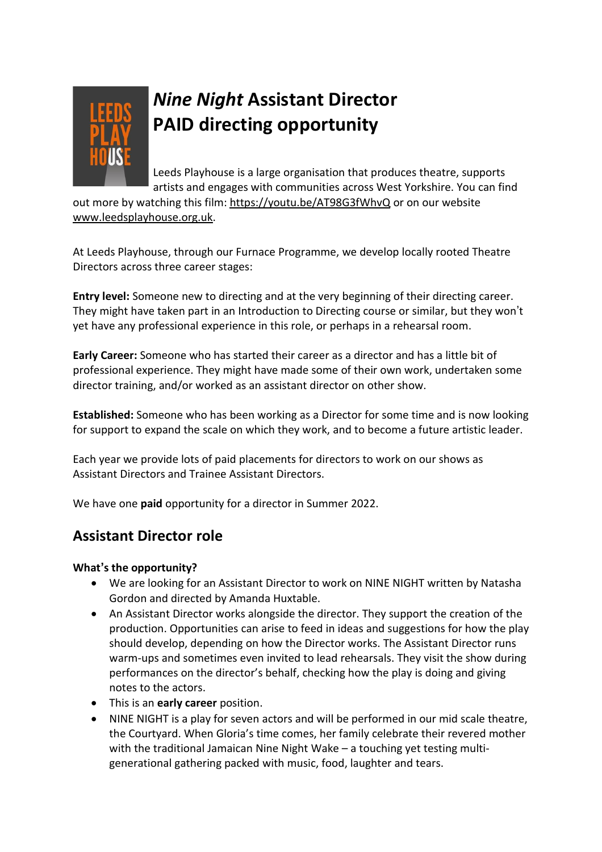

# *Nine Night* **Assistant Director PAID directing opportunity**

Leeds Playhouse is a large organisation that produces theatre, supports artists and engages with communities across West Yorkshire. You can find

out more by watching this film: <https://youtu.be/AT98G3fWhvQ> or on our website [www.leedsplayhouse.org.uk.](http://www.leedsplayhouse.org.uk/)

At Leeds Playhouse, through our Furnace Programme, we develop locally rooted Theatre Directors across three career stages:

**Entry level:** Someone new to directing and at the very beginning of their directing career. They might have taken part in an Introduction to Directing course or similar, but they won't yet have any professional experience in this role, or perhaps in a rehearsal room.

**Early Career:** Someone who has started their career as a director and has a little bit of professional experience. They might have made some of their own work, undertaken some director training, and/or worked as an assistant director on other show.

**Established:** Someone who has been working as a Director for some time and is now looking for support to expand the scale on which they work, and to become a future artistic leader.

Each year we provide lots of paid placements for directors to work on our shows as Assistant Directors and Trainee Assistant Directors.

We have one **paid** opportunity for a director in Summer 2022.

# **Assistant Director role**

## **What's the opportunity?**

- We are looking for an Assistant Director to work on NINE NIGHT written by Natasha Gordon and directed by Amanda Huxtable.
- An Assistant Director works alongside the director. They support the creation of the production. Opportunities can arise to feed in ideas and suggestions for how the play should develop, depending on how the Director works. The Assistant Director runs warm-ups and sometimes even invited to lead rehearsals. They visit the show during performances on the director's behalf, checking how the play is doing and giving notes to the actors.
- This is an **early career** position.
- NINE NIGHT is a play for seven actors and will be performed in our mid scale theatre, the Courtyard. When Gloria's time comes, her family celebrate their revered mother with the traditional Jamaican Nine Night Wake – a touching yet testing multigenerational gathering packed with music, food, laughter and tears.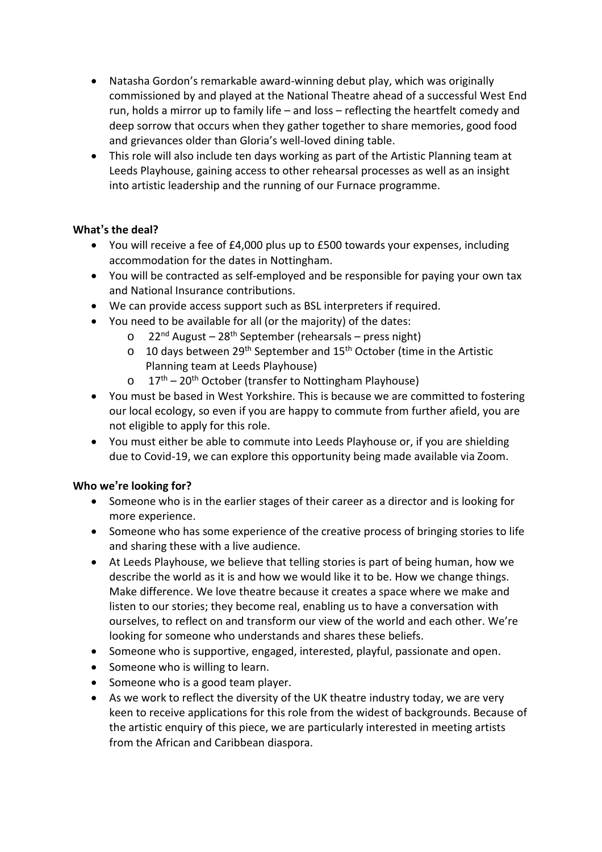- Natasha Gordon's remarkable award-winning debut play, which was originally commissioned by and played at the National Theatre ahead of a successful West End run, holds a mirror up to family life – and loss – reflecting the heartfelt comedy and deep sorrow that occurs when they gather together to share memories, good food and grievances older than Gloria's well-loved dining table.
- This role will also include ten days working as part of the Artistic Planning team at Leeds Playhouse, gaining access to other rehearsal processes as well as an insight into artistic leadership and the running of our Furnace programme.

## **What's the deal?**

- You will receive a fee of £4,000 plus up to £500 towards your expenses, including accommodation for the dates in Nottingham.
- You will be contracted as self-employed and be responsible for paying your own tax and National Insurance contributions.
- We can provide access support such as BSL interpreters if required.
- You need to be available for all (or the majority) of the dates:
	- o  $22<sup>nd</sup>$  August  $28<sup>th</sup>$  September (rehearsals press night)
	- o 10 days between 29<sup>th</sup> September and  $15<sup>th</sup>$  October (time in the Artistic Planning team at Leeds Playhouse)
	- o 17<sup>th</sup> 20<sup>th</sup> October (transfer to Nottingham Playhouse)
- You must be based in West Yorkshire. This is because we are committed to fostering our local ecology, so even if you are happy to commute from further afield, you are not eligible to apply for this role.
- You must either be able to commute into Leeds Playhouse or, if you are shielding due to Covid-19, we can explore this opportunity being made available via Zoom.

## **Who we're looking for?**

- Someone who is in the earlier stages of their career as a director and is looking for more experience.
- Someone who has some experience of the creative process of bringing stories to life and sharing these with a live audience.
- At Leeds Playhouse, we believe that telling stories is part of being human, how we describe the world as it is and how we would like it to be. How we change things. Make difference. We love theatre because it creates a space where we make and listen to our stories; they become real, enabling us to have a conversation with ourselves, to reflect on and transform our view of the world and each other. We're looking for someone who understands and shares these beliefs.
- Someone who is supportive, engaged, interested, playful, passionate and open.
- Someone who is willing to learn.
- Someone who is a good team player.
- As we work to reflect the diversity of the UK theatre industry today, we are very keen to receive applications for this role from the widest of backgrounds. Because of the artistic enquiry of this piece, we are particularly interested in meeting artists from the African and Caribbean diaspora.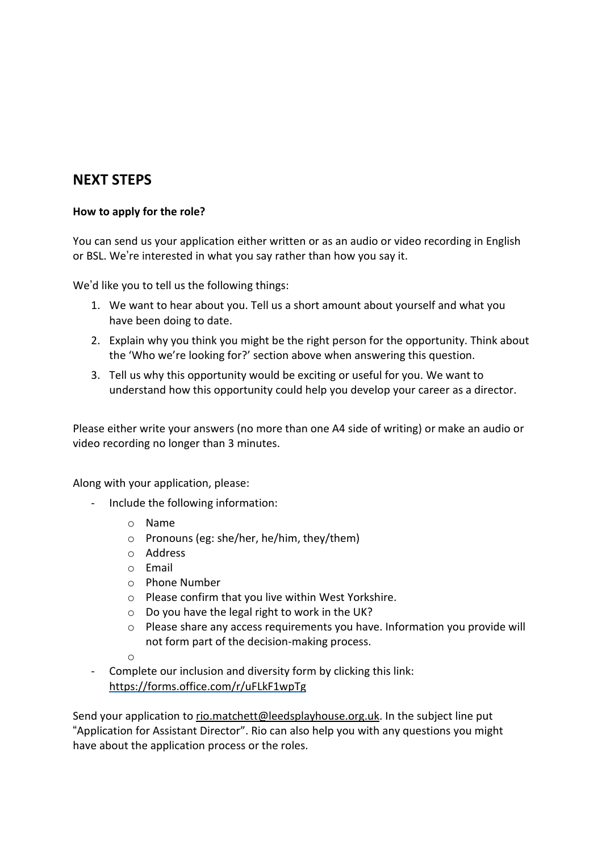# **NEXT STEPS**

## **How to apply for the role?**

You can send us your application either written or as an audio or video recording in English or BSL. We're interested in what you say rather than how you say it.

We'd like you to tell us the following things:

- 1. We want to hear about you. Tell us a short amount about yourself and what you have been doing to date.
- 2. Explain why you think you might be the right person for the opportunity. Think about the 'Who we're looking for?' section above when answering this question.
- 3. Tell us why this opportunity would be exciting or useful for you. We want to understand how this opportunity could help you develop your career as a director.

Please either write your answers (no more than one A4 side of writing) or make an audio or video recording no longer than 3 minutes.

Along with your application, please:

- Include the following information:
	- o Name
	- o Pronouns (eg: she/her, he/him, they/them)
	- o Address
	- o Email
	- o Phone Number
	- o Please confirm that you live within West Yorkshire.
	- $\circ$  Do you have the legal right to work in the UK?
	- o Please share any access requirements you have. Information you provide will not form part of the decision-making process.

o

Complete our inclusion and diversity form by clicking this link: <https://forms.office.com/r/uFLkF1wpTg>

Send your application to [rio.matchett@leedsplayhouse.org.uk.](mailto:rio.matchett@leedsplayhouse.org.uk) In the subject line put "Application for Assistant Director". Rio can also help you with any questions you might have about the application process or the roles.